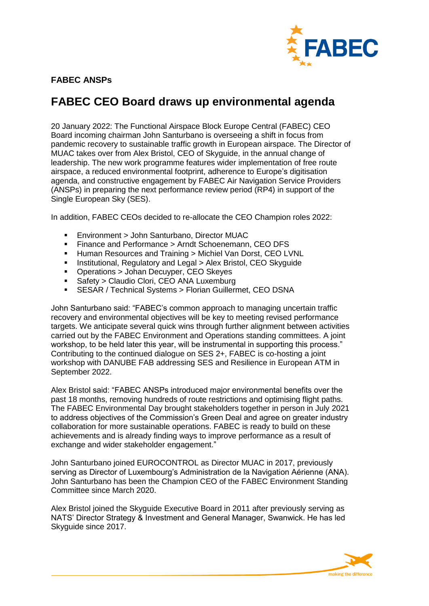

## **FABEC ANSPs**

## **FABEC CEO Board draws up environmental agenda**

20 January 2022: The Functional Airspace Block Europe Central (FABEC) CEO Board incoming chairman John Santurbano is overseeing a shift in focus from pandemic recovery to sustainable traffic growth in European airspace. The Director of MUAC takes over from Alex Bristol, CEO of Skyguide, in the annual change of leadership. The new work programme features wider implementation of free route airspace, a reduced environmental footprint, adherence to Europe's digitisation agenda, and constructive engagement by FABEC Air Navigation Service Providers (ANSPs) in preparing the next performance review period (RP4) in support of the Single European Sky (SES).

In addition, FABEC CEOs decided to re-allocate the CEO Champion roles 2022:

- Environment > John Santurbano, Director MUAC
- Finance and Performance > Arndt Schoenemann, CEO DFS
- **Human Resources and Training > Michiel Van Dorst, CEO LVNL**
- **Institutional, Regulatory and Legal > Alex Bristol, CEO Skyguide**
- Operations > Johan Decuyper, CEO Skeyes
- Safety > Claudio Clori, CEO ANA Luxemburg
- SESAR / Technical Systems > Florian Guillermet, CEO DSNA

John Santurbano said: "FABEC's common approach to managing uncertain traffic recovery and environmental objectives will be key to meeting revised performance targets. We anticipate several quick wins through further alignment between activities carried out by the FABEC Environment and Operations standing committees. A joint workshop, to be held later this year, will be instrumental in supporting this process." Contributing to the continued dialogue on SES 2+, FABEC is co-hosting a joint workshop with DANUBE FAB addressing SES and Resilience in European ATM in September 2022.

Alex Bristol said: "FABEC ANSPs introduced major environmental benefits over the past 18 months, removing hundreds of route restrictions and optimising flight paths. The FABEC Environmental Day brought stakeholders together in person in July 2021 to address objectives of the Commission's Green Deal and agree on greater industry collaboration for more sustainable operations. FABEC is ready to build on these achievements and is already finding ways to improve performance as a result of exchange and wider stakeholder engagement."

John Santurbano joined EUROCONTROL as Director MUAC in 2017, previously serving as Director of Luxembourg's Administration de la Navigation Aérienne (ANA). John Santurbano has been the Champion CEO of the FABEC Environment Standing Committee since March 2020.

Alex Bristol joined the Skyguide Executive Board in 2011 after previously serving as NATS' Director Strategy & Investment and General Manager, Swanwick. He has led Skyguide since 2017.